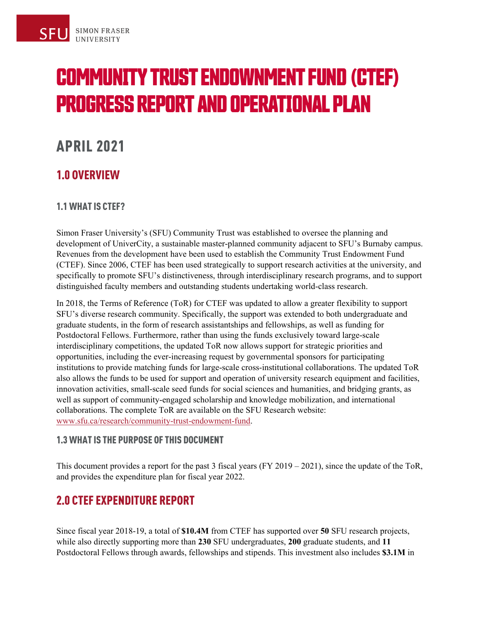# **COMMUNITY TRUST ENDOWNMENT FUND (CTEF) PROGRESS REPORT AND OPERATIONAL PLAN**

## APRIL 2021

## 1.0 OVERVIEW

#### 1.1 WHAT IS CTEF?

Simon Fraser University's (SFU) Community Trust was established to oversee the planning and development of UniverCity, a sustainable master-planned community adjacent to SFU's Burnaby campus. Revenues from the development have been used to establish the Community Trust Endowment Fund (CTEF). Since 2006, CTEF has been used strategically to support research activities at the university, and specifically to promote SFU's distinctiveness, through interdisciplinary research programs, and to support distinguished faculty members and outstanding students undertaking world-class research.

In 2018, the Terms of Reference (ToR) for CTEF was updated to allow a greater flexibility to support SFU's diverse research community. Specifically, the support was extended to both undergraduate and graduate students, in the form of research assistantships and fellowships, as well as funding for Postdoctoral Fellows. Furthermore, rather than using the funds exclusively toward large-scale interdisciplinary competitions, the updated ToR now allows support for strategic priorities and opportunities, including the ever-increasing request by governmental sponsors for participating institutions to provide matching funds for large-scale cross-institutional collaborations. The updated ToR also allows the funds to be used for support and operation of university research equipment and facilities, innovation activities, small-scale seed funds for social sciences and humanities, and bridging grants, as well as support of community-engaged scholarship and knowledge mobilization, and international collaborations. The complete ToR are available on the SFU Research website: [www.sfu.ca/research/community-trust-endowment-fund.](https://www.sfu.ca/research/community-trust-endowment-fund)

#### 1.3 WHAT IS THE PURPOSE OF THIS DOCUMENT

This document provides a report for the past 3 fiscal years (FY 2019 – 2021), since the update of the ToR, and provides the expenditure plan for fiscal year 2022.

## 2.0 CTEF EXPENDITURE REPORT

Since fiscal year 2018-19, a total of **\$10.4M** from CTEF has supported over **50** SFU research projects, while also directly supporting more than **230** SFU undergraduates, **200** graduate students, and **11** Postdoctoral Fellows through awards, fellowships and stipends. This investment also includes **\$3.1M** in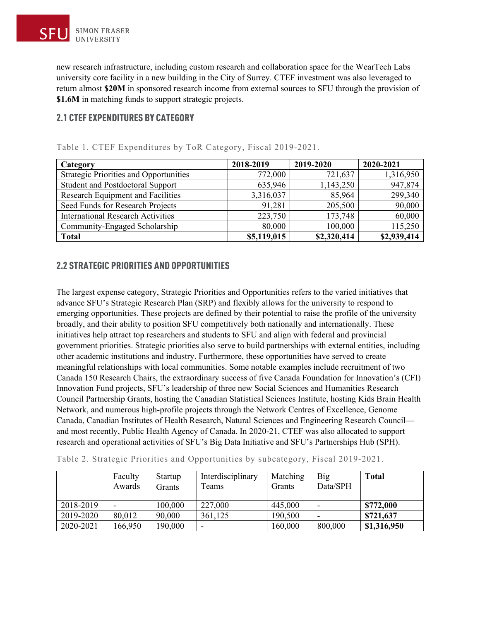new research infrastructure, including custom research and collaboration space for the WearTech Labs university core facility in a new building in the City of Surrey. CTEF investment was also leveraged to return almost **\$20M** in sponsored research income from external sources to SFU through the provision of **\$1.6M** in matching funds to support strategic projects.

#### 2.1 CTEF EXPENDITURES BY CATEGORY

| Category                                      | 2018-2019   | 2019-2020   | 2020-2021   |
|-----------------------------------------------|-------------|-------------|-------------|
| <b>Strategic Priorities and Opportunities</b> | 772,000     | 721,637     | 1,316,950   |
| Student and Postdoctoral Support              | 635,946     | 1,143,250   | 947,874     |
| Research Equipment and Facilities             | 3,316,037   | 85,964      | 299,340     |
| Seed Funds for Research Projects              | 91,281      | 205,500     | 90,000      |
| <b>International Research Activities</b>      | 223,750     | 173,748     | 60,000      |
| Community-Engaged Scholarship                 | 80,000      | 100,000     | 115,250     |
| <b>Total</b>                                  | \$5,119,015 | \$2,320,414 | \$2,939,414 |

Table 1. CTEF Expenditures by ToR Category, Fiscal 2019-2021.

#### 2.2 STRATEGIC PRIORITIES AND OPPORTUNITIES

The largest expense category, Strategic Priorities and Opportunities refers to the varied initiatives that advance SFU's Strategic Research Plan (SRP) and flexibly allows for the university to respond to emerging opportunities. These projects are defined by their potential to raise the profile of the university broadly, and their ability to position SFU competitively both nationally and internationally. These initiatives help attract top researchers and students to SFU and align with federal and provincial government priorities. Strategic priorities also serve to build partnerships with external entities, including other academic institutions and industry. Furthermore, these opportunities have served to create meaningful relationships with local communities. Some notable examples include recruitment of two Canada 150 Research Chairs, the extraordinary success of five Canada Foundation for Innovation's (CFI) Innovation Fund projects, SFU's leadership of three new Social Sciences and Humanities Research Council Partnership Grants, hosting the Canadian Statistical Sciences Institute, hosting Kids Brain Health Network, and numerous high-profile projects through the Network Centres of Excellence, Genome Canada, Canadian Institutes of Health Research, Natural Sciences and Engineering Research Council and most recently, Public Health Agency of Canada. In 2020-21, CTEF was also allocated to support research and operational activities of SFU's Big Data Initiative and SFU's Partnerships Hub (SPH).

| Table 2. Strategic Priorities and Opportunities by subcategory, Fiscal 2019-2021. |  |  |
|-----------------------------------------------------------------------------------|--|--|
|                                                                                   |  |  |

|           | Faculty<br>Awards | Startup<br>Grants | Interdisciplinary<br>Teams | Matching<br>Grants | Big<br>Data/SPH | <b>Total</b> |
|-----------|-------------------|-------------------|----------------------------|--------------------|-----------------|--------------|
| 2018-2019 |                   | 100,000           | 227,000                    | 445,000            |                 | \$772,000    |
| 2019-2020 | 80,012            | 90,000            | 361,125                    | 190,500            |                 | \$721,637    |
| 2020-2021 | 166,950           | 190,000           |                            | 160,000            | 800,000         | \$1,316,950  |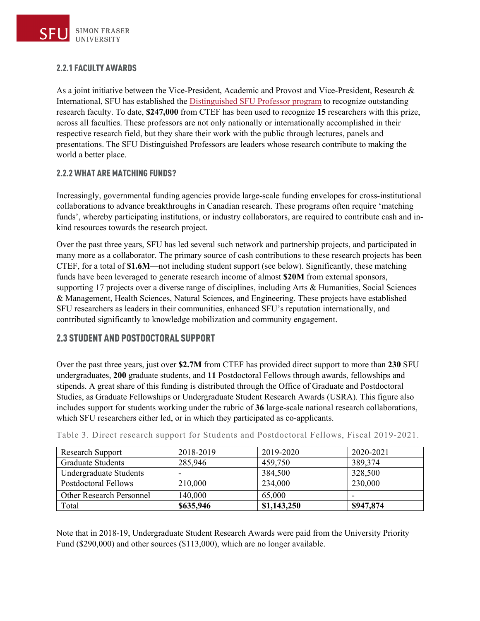#### 2.2.1 FACULTY AWARDS

As a joint initiative between the Vice-President, Academic and Provost and Vice-President, Research & International, SFU has established the [Distinguished SFU Professor program](http://www.sfu.ca/vpacademic/committees_taskforces/standing_committees/distinguished-sfu-professors.html) to recognize outstanding research faculty. To date, **\$247,000** from CTEF has been used to recognize **15** researchers with this prize, across all faculties. These professors are not only nationally or internationally accomplished in their respective research field, but they share their work with the public through lectures, panels and presentations. The SFU Distinguished Professors are leaders whose research contribute to making the world a better place.

#### 2.2.2 WHAT ARE MATCHING FUNDS?

Increasingly, governmental funding agencies provide large-scale funding envelopes for cross-institutional collaborations to advance breakthroughs in Canadian research. These programs often require 'matching funds', whereby participating institutions, or industry collaborators, are required to contribute cash and inkind resources towards the research project.

Over the past three years, SFU has led several such network and partnership projects, and participated in many more as a collaborator. The primary source of cash contributions to these research projects has been CTEF, for a total of **\$1.6M—**not including student support (see below). Significantly, these matching funds have been leveraged to generate research income of almost **\$20M** from external sponsors, supporting 17 projects over a diverse range of disciplines, including Arts & Humanities, Social Sciences & Management, Health Sciences, Natural Sciences, and Engineering. These projects have established SFU researchers as leaders in their communities, enhanced SFU's reputation internationally, and contributed significantly to knowledge mobilization and community engagement.

#### 2.3 STUDENT AND POSTDOCTORAL SUPPORT

Over the past three years, just over **\$2.7M** from CTEF has provided direct support to more than **230** SFU undergraduates, **200** graduate students, and **11** Postdoctoral Fellows through awards, fellowships and stipends. A great share of this funding is distributed through the Office of Graduate and Postdoctoral Studies, as Graduate Fellowships or Undergraduate Student Research Awards (USRA). This figure also includes support for students working under the rubric of **36** large-scale national research collaborations, which SFU researchers either led, or in which they participated as co-applicants.

| Research Support            | 2018-2019 | 2019-2020   | 2020-2021 |
|-----------------------------|-----------|-------------|-----------|
| <b>Graduate Students</b>    | 285,946   | 459,750     | 389,374   |
| Undergraduate Students      |           | 384,500     | 328,500   |
| <b>Postdoctoral Fellows</b> | 210,000   | 234,000     | 230,000   |
| Other Research Personnel    | 140,000   | 65,000      |           |
| Total                       | \$635,946 | \$1,143,250 | \$947,874 |

Table 3. Direct research support for Students and Postdoctoral Fellows, Fiscal 2019-2021.

Note that in 2018-19, Undergraduate Student Research Awards were paid from the University Priority Fund (\$290,000) and other sources (\$113,000), which are no longer available.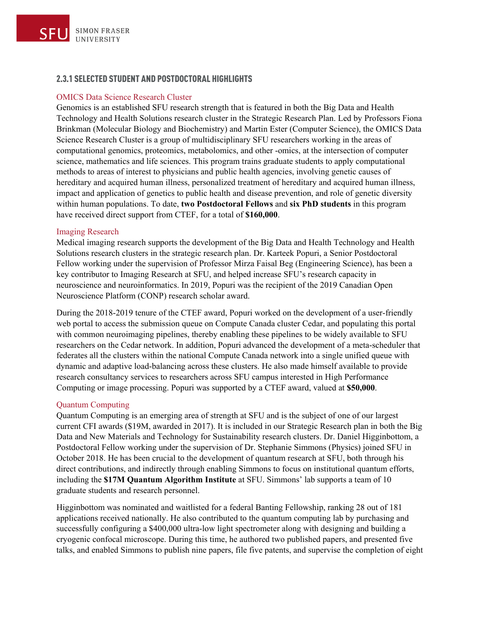#### 2.3.1 SELECTED STUDENT AND POSTDOCTORAL HIGHLIGHTS

#### OMICS Data Science Research Cluster

Genomics is an established SFU research strength that is featured in both the Big Data and Health Technology and Health Solutions research cluster in the Strategic Research Plan. Led by Professors Fiona Brinkman (Molecular Biology and Biochemistry) and Martin Ester (Computer Science), the OMICS Data Science Research Cluster is a group of multidisciplinary SFU researchers working in the areas of computational genomics, proteomics, metabolomics, and other -omics, at the intersection of computer science, mathematics and life sciences. This program trains graduate students to apply computational methods to areas of interest to physicians and public health agencies, involving genetic causes of hereditary and acquired human illness, personalized treatment of hereditary and acquired human illness, impact and application of genetics to public health and disease prevention, and role of genetic diversity within human populations. To date, **two Postdoctoral Fellows** and **six PhD students** in this program have received direct support from CTEF, for a total of **\$160,000**.

#### Imaging Research

Medical imaging research supports the development of the Big Data and Health Technology and Health Solutions research clusters in the strategic research plan. Dr. Karteek Popuri, a Senior Postdoctoral Fellow working under the supervision of Professor Mirza Faisal Beg (Engineering Science), has been a key contributor to Imaging Research at SFU, and helped increase SFU's research capacity in neuroscience and neuroinformatics. In 2019, Popuri was the recipient of the 2019 Canadian Open Neuroscience Platform (CONP) research scholar award.

During the 2018-2019 tenure of the CTEF award, Popuri worked on the development of a user-friendly web portal to access the submission queue on Compute Canada cluster Cedar, and populating this portal with common neuroimaging pipelines, thereby enabling these pipelines to be widely available to SFU researchers on the Cedar network. In addition, Popuri advanced the development of a meta-scheduler that federates all the clusters within the national Compute Canada network into a single unified queue with dynamic and adaptive load-balancing across these clusters. He also made himself available to provide research consultancy services to researchers across SFU campus interested in High Performance Computing or image processing. Popuri was supported by a CTEF award, valued at **\$50,000**.

#### Quantum Computing

Quantum Computing is an emerging area of strength at SFU and is the subject of one of our largest current CFI awards (\$19M, awarded in 2017). It is included in our Strategic Research plan in both the Big Data and New Materials and Technology for Sustainability research clusters. Dr. Daniel Higginbottom, a Postdoctoral Fellow working under the supervision of Dr. Stephanie Simmons (Physics) joined SFU in October 2018. He has been crucial to the development of quantum research at SFU, both through his direct contributions, and indirectly through enabling Simmons to focus on institutional quantum efforts, including the **\$17M Quantum Algorithm Institute** at SFU. Simmons' lab supports a team of 10 graduate students and research personnel.

Higginbottom was nominated and waitlisted for a federal Banting Fellowship, ranking 28 out of 181 applications received nationally. He also contributed to the quantum computing lab by purchasing and successfully configuring a \$400,000 ultra-low light spectrometer along with designing and building a cryogenic confocal microscope. During this time, he authored two published papers, and presented five talks, and enabled Simmons to publish nine papers, file five patents, and supervise the completion of eight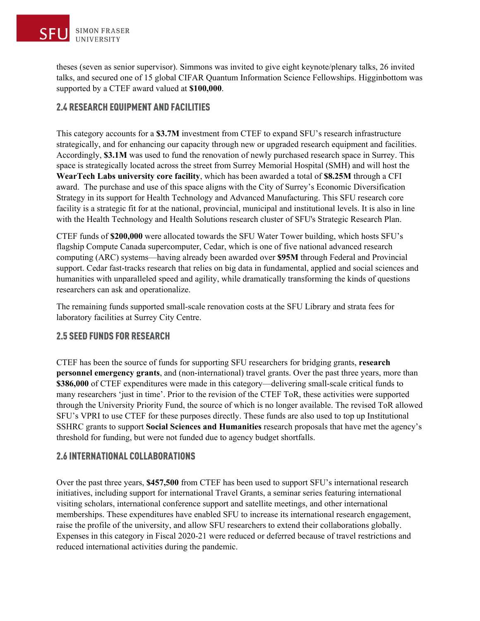theses (seven as senior supervisor). Simmons was invited to give eight keynote/plenary talks, 26 invited talks, and secured one of 15 global CIFAR Quantum Information Science Fellowships. Higginbottom was supported by a CTEF award valued at **\$100,000**.

#### 2.4 RESEARCH EQUIPMENT AND FACILITIES

This category accounts for a **\$3.7M** investment from CTEF to expand SFU's research infrastructure strategically, and for enhancing our capacity through new or upgraded research equipment and facilities. Accordingly, **\$3.1M** was used to fund the renovation of newly purchased research space in Surrey. This space is strategically located across the street from Surrey Memorial Hospital (SMH) and will host the **WearTech Labs university core facility**, which has been awarded a total of **\$8.25M** through a CFI award. The purchase and use of this space aligns with the City of Surrey's Economic Diversification Strategy in its support for Health Technology and Advanced Manufacturing. This SFU research core facility is a strategic fit for at the national, provincial, municipal and institutional levels. It is also in line with the Health Technology and Health Solutions research cluster of SFU's Strategic Research Plan.

CTEF funds of **\$200,000** were allocated towards the SFU Water Tower building, which hosts SFU's flagship Compute Canada supercomputer, Cedar, which is one of five national advanced research computing (ARC) systems—having already been awarded over **\$95M** through Federal and Provincial support. Cedar fast-tracks research that relies on big data in fundamental, applied and social sciences and humanities with unparalleled speed and agility, while dramatically transforming the kinds of questions researchers can ask and operationalize.

The remaining funds supported small-scale renovation costs at the SFU Library and strata fees for laboratory facilities at Surrey City Centre.

#### 2.5 SEED FUNDS FOR RESEARCH

CTEF has been the source of funds for supporting SFU researchers for bridging grants, **research personnel emergency grants**, and (non-international) travel grants. Over the past three years, more than **\$386,000** of CTEF expenditures were made in this category—delivering small-scale critical funds to many researchers 'just in time'. Prior to the revision of the CTEF ToR, these activities were supported through the University Priority Fund, the source of which is no longer available. The revised ToR allowed SFU's VPRI to use CTEF for these purposes directly. These funds are also used to top up Institutional SSHRC grants to support **Social Sciences and Humanities** research proposals that have met the agency's threshold for funding, but were not funded due to agency budget shortfalls.

#### 2.6 INTERNATIONAL COLLABORATIONS

Over the past three years, **\$457,500** from CTEF has been used to support SFU's international research initiatives, including support for international Travel Grants, a seminar series featuring international visiting scholars, international conference support and satellite meetings, and other international memberships. These expenditures have enabled SFU to increase its international research engagement, raise the profile of the university, and allow SFU researchers to extend their collaborations globally. Expenses in this category in Fiscal 2020-21 were reduced or deferred because of travel restrictions and reduced international activities during the pandemic.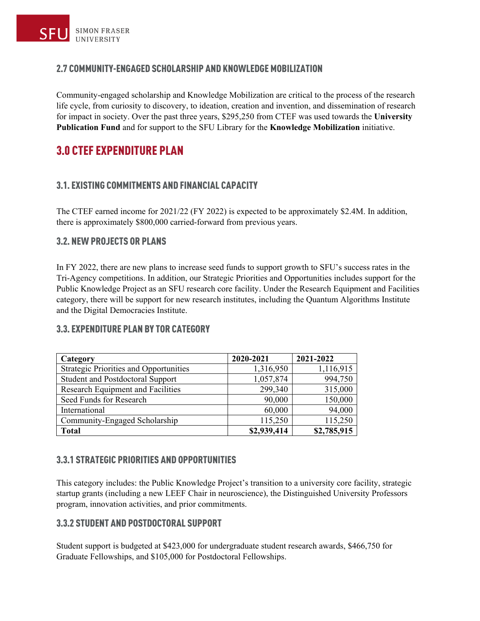#### 2.7 COMMUNITY-ENGAGED SCHOLARSHIP AND KNOWLEDGE MOBILIZATION

Community-engaged scholarship and Knowledge Mobilization are critical to the process of the research life cycle, from curiosity to discovery, to ideation, creation and invention, and dissemination of research for impact in society. Over the past three years, \$295,250 from CTEF was used towards the **University Publication Fund** and for support to the SFU Library for the **Knowledge Mobilization** initiative.

### 3.0 CTEF EXPENDITURE PLAN

#### 3.1. EXISTING COMMITMENTS AND FINANCIAL CAPACITY

The CTEF earned income for 2021/22 (FY 2022) is expected to be approximately \$2.4M. In addition, there is approximately \$800,000 carried-forward from previous years.

#### 3.2. NEW PROJECTS OR PLANS

In FY 2022, there are new plans to increase seed funds to support growth to SFU's success rates in the Tri-Agency competitions. In addition, our Strategic Priorities and Opportunities includes support for the Public Knowledge Project as an SFU research core facility. Under the Research Equipment and Facilities category, there will be support for new research institutes, including the Quantum Algorithms Institute and the Digital Democracies Institute.

| Category                                      | 2020-2021   | 2021-2022   |
|-----------------------------------------------|-------------|-------------|
| <b>Strategic Priorities and Opportunities</b> | 1,316,950   | 1,116,915   |
| <b>Student and Postdoctoral Support</b>       | 1,057,874   | 994,750     |
| <b>Research Equipment and Facilities</b>      | 299,340     | 315,000     |
| Seed Funds for Research                       | 90,000      | 150,000     |
| International                                 | 60,000      | 94,000      |
| Community-Engaged Scholarship                 | 115,250     | 115,250     |
| <b>Total</b>                                  | \$2,939,414 | \$2,785,915 |

#### 3.3. EXPENDITURE PLAN BY TOR CATEGORY

#### 3.3.1 STRATEGIC PRIORITIES AND OPPORTUNITIES

This category includes: the Public Knowledge Project's transition to a university core facility, strategic startup grants (including a new LEEF Chair in neuroscience), the Distinguished University Professors program, innovation activities, and prior commitments.

#### 3.3.2 STUDENT AND POSTDOCTORAL SUPPORT

Student support is budgeted at \$423,000 for undergraduate student research awards, \$466,750 for Graduate Fellowships, and \$105,000 for Postdoctoral Fellowships.